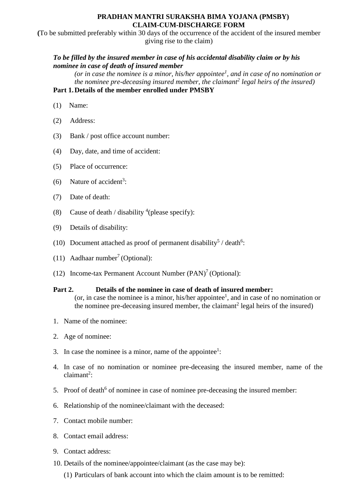#### **PRADHAN MANTRI SURAKSHA BIMA YOJANA (PMSBY) CLAIM-CUM-DISCHARGE FORM**

**(**To be submitted preferably within 30 days of the occurrence of the accident of the insured member giving rise to the claim)

## *To be filled by the insured member in case of his accidental disability claim or by his nominee in case of death of insured member*

*(or in case the nominee is a minor, his/her appointee<sup>1</sup> , and in case of no nomination or the nominee pre-deceasing insured member, the claimant<sup>2</sup> legal heirs of the insured)* **Part 1.Details of the member enrolled under PMSBY**

- (1) Name:
- (2) Address:
- (3) Bank / post office account number:
- (4) Day, date, and time of accident:
- (5) Place of occurrence:
- (6) Nature of accident<sup>3</sup>:
- (7) Date of death:
- (8) Cause of death / disability  $^{4}$ (please specify):
- (9) Details of disability:
- (10) Document attached as proof of permanent disability<sup>5</sup> / death<sup>6</sup>:
- $(11)$  Aadhaar number<sup>7</sup> (Optional):
- (12) Income-tax Permanent Account Number (PAN) 7 (Optional):

#### **Part 2. Details of the nominee in case of death of insured member:**

(or, in case the nominee is a minor, his/her appointee<sup>1</sup>, and in case of no nomination or the nominee pre-deceasing insured member, the claimant<sup>2</sup> legal heirs of the insured)

- 1. Name of the nominee:
- 2. Age of nominee:
- 3. In case the nominee is a minor, name of the appointee<sup>1</sup>:
- 4. In case of no nomination or nominee pre-deceasing the insured member, name of the claimant<sup>2</sup>:
- 5. Proof of death<sup>6</sup> of nominee in case of nominee pre-deceasing the insured member:
- 6. Relationship of the nominee/claimant with the deceased:
- 7. Contact mobile number:
- 8. Contact email address:
- 9. Contact address:
- 10. Details of the nominee/appointee/claimant (as the case may be):
	- (1) Particulars of bank account into which the claim amount is to be remitted: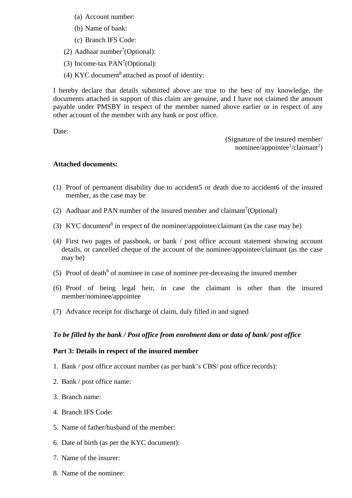- (a) Account number:
- (b) Name of bank:
- (c) Branch IFS Code:
- $(2)$  Aadhaar number<sup>7</sup>(Optional):
- (3) Income-tax  $PAN<sup>7</sup>(Optional)$ :
- (4) KYC document<sup>8</sup> attached as proof of identity:

I hereby declare that details submitted above are true to the best of my knowledge, the documents attached in support of this claim are genuine, and I have not claimed the amount payable under PMSBY in respect of the member named above earlier or in respect of any other account of the member with any bank or post office.

Date:

(Signature of the insured member/ nominee/appointee<sup>1</sup>/claimant<sup>2</sup>)

#### **Attached documents:**

- (1) Proof of permanent disability due to accident5 or death due to accident6 of the insured member, as the case may be
- (2) Aadhaar and PAN number of the insured member and claimant<sup>7</sup> (Optional)
- (3) KYC document<sup>8</sup> in respect of the nominee/appointee/claimant (as the case may be)
- (4) First two pages of passbook, or bank / post office account statement showing account details, or cancelled cheque of the account of the nominee/appointee/claimant (as the case may be)
- (5) Proof of death<sup>6</sup> of nominee in case of nominee pre-deceasing the insured member
- (6) Proof of being legal heir, in case the claimant is other than the insured member/nominee/appointee
- (7) Advance receipt for discharge of claim, duly filled in and signed

#### *To be filled by the bank / Post office from enrolment data or data of bank/ post office*

#### **Part 3: Details in respect of the insured member**

- 1. Bank / post office account number (as per bank's CBS/ post office records):
- 2. Bank / post office name:
- 3. Branch name:
- 4. Branch IFS Code:
- 5. Name of father/husband of the member:
- 6. Date of birth (as per the KYC document):
- 7. Name of the insurer:
- 8. Name of the nominee: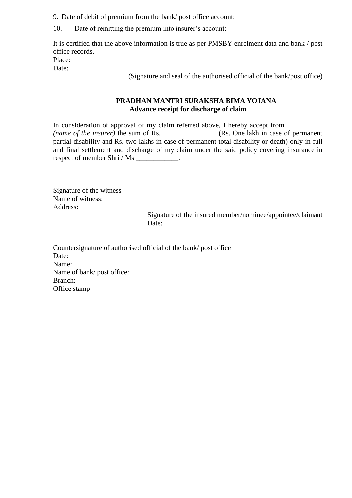9. Date of debit of premium from the bank/ post office account:

10. Date of remitting the premium into insurer's account:

It is certified that the above information is true as per PMSBY enrolment data and bank / post office records. Place:

Date:

(Signature and seal of the authorised official of the bank/post office)

### **PRADHAN MANTRI SURAKSHA BIMA YOJANA Advance receipt for discharge of claim**

In consideration of approval of my claim referred above, I hereby accept from \_\_\_\_\_\_\_\_ *(name of the insurer)* the sum of Rs. \_\_\_\_\_\_\_\_\_\_\_\_\_\_ (Rs. One lakh in case of permanent partial disability and Rs. two lakhs in case of permanent total disability or death) only in full and final settlement and discharge of my claim under the said policy covering insurance in respect of member Shri / Ms \_\_\_\_\_\_\_\_\_\_\_\_.

Signature of the witness Name of witness: Address:

 Signature of the insured member/nominee/appointee/claimant Date:

Countersignature of authorised official of the bank/ post office Date: Name: Name of bank/ post office: Branch: Office stamp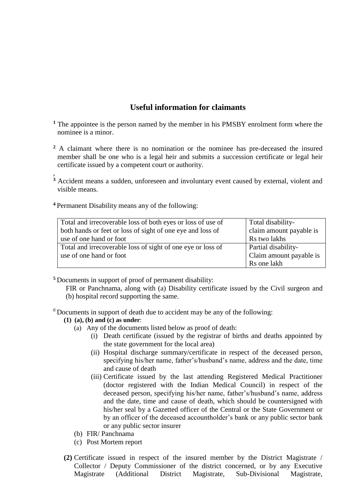# **Useful information for claimants**

- **<sup>1</sup>** The appointee is the person named by the member in his PMSBY enrolment form where the nominee is a minor.
- **<sup>2</sup>** A claimant where there is no nomination or the nominee has pre-deceased the insured member shall be one who is a legal heir and submits a succession certificate or legal heir certificate issued by a competent court or authority.
- , **<sup>3</sup>** Accident means a sudden, unforeseen and involuntary event caused by external, violent and visible means.
- **<sup>4</sup>**Permanent Disability means any of the following:

| Total and irrecoverable loss of both eyes or loss of use of                           | Total disability-                       |
|---------------------------------------------------------------------------------------|-----------------------------------------|
| both hands or feet or loss of sight of one eye and loss of<br>use of one hand or foot | claim amount payable is<br>Rs two lakhs |
| Total and irrecoverable loss of sight of one eye or loss of                           | Partial disability-                     |
| use of one hand or foot                                                               | Claim amount payable is                 |
|                                                                                       | Rs one lakh                             |

**<sup>5</sup>** Documents in support of proof of permanent disability:

FIR or Panchnama, along with (a) Disability certificate issued by the Civil surgeon and (b) hospital record supporting the same.

 $6$ Documents in support of death due to accident may be any of the following:

#### **(1) (a), (b) and (c) as under**:

- (a) Any of the documents listed below as proof of death:
	- (i) Death certificate (issued by the registrar of births and deaths appointed by the state government for the local area)
	- (ii) Hospital discharge summary/certificate in respect of the deceased person, specifying his/her name, father's/husband's name, address and the date, time and cause of death
	- (iii) Certificate issued by the last attending Registered Medical Practitioner (doctor registered with the Indian Medical Council) in respect of the deceased person, specifying his/her name, father's/husband's name, address and the date, time and cause of death, which should be countersigned with his/her seal by a Gazetted officer of the Central or the State Government or by an officer of the deceased accountholder's bank or any public sector bank or any public sector insurer
- (b) FIR/ Panchnama
- (c) Post Mortem report
- **(2)** Certificate issued in respect of the insured member by the District Magistrate / Collector / Deputy Commissioner of the district concerned, or by any Executive Magistrate (Additional District Magistrate, Sub-Divisional Magistrate,